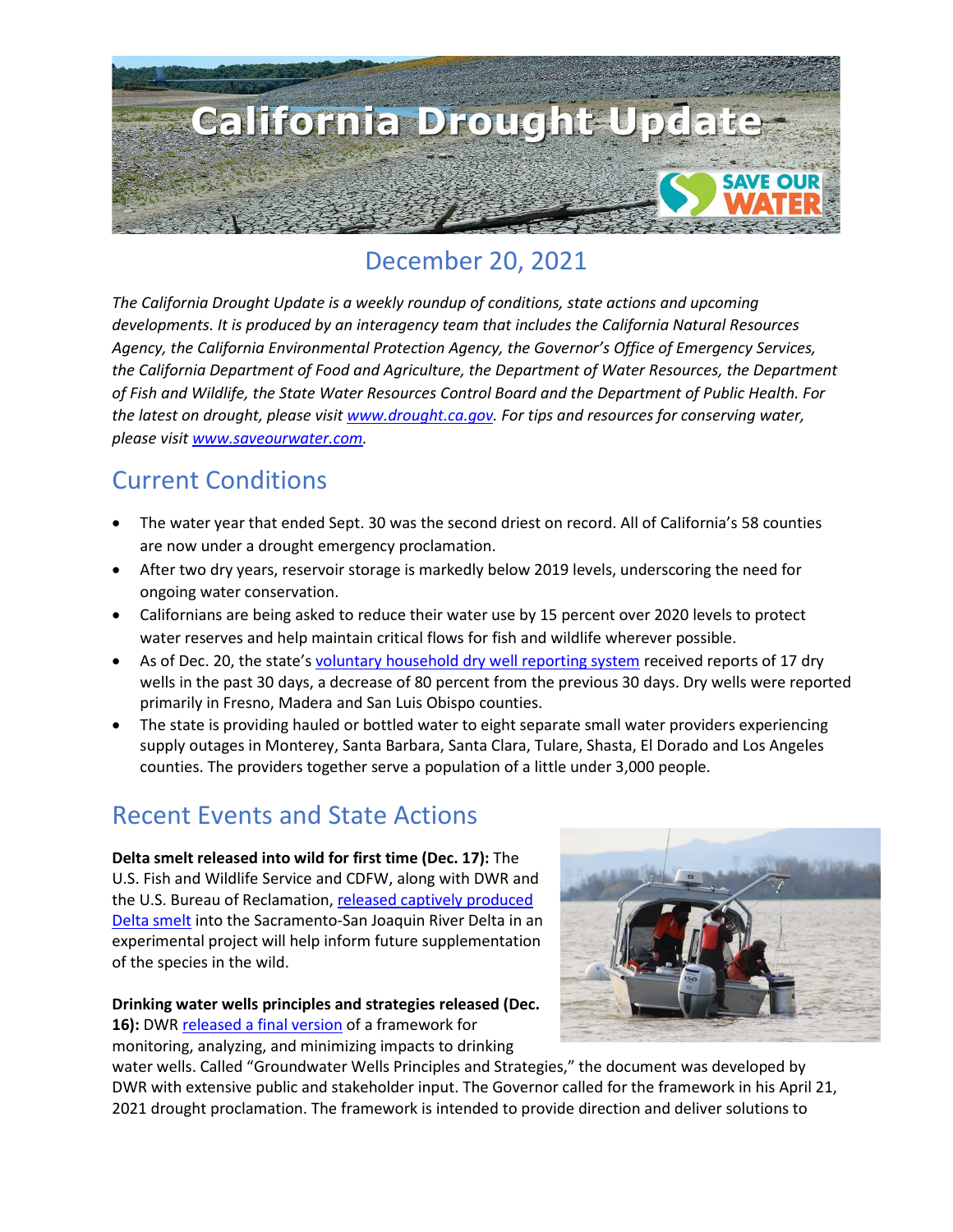

# December 20, 2021

*The California Drought Update is a weekly roundup of conditions, state actions and upcoming developments. It is produced by an interagency team that includes the California Natural Resources Agency, the California Environmental Protection Agency, the Governor's Office of Emergency Services, the California Department of Food and Agriculture, the Department of Water Resources, the Department of Fish and Wildlife, the State Water Resources Control Board and the Department of Public Health. For the latest on drought, please visit [www.drought.ca.gov.](http://www.drought.ca.gov/) For tips and resources for conserving water, please visit [www.saveourwater.com.](http://www.saveourwater.com/)*

# Current Conditions

- The water year that ended Sept. 30 was the second driest on record. All of California's 58 counties are now under a drought emergency proclamation.
- After two dry years, reservoir storage is markedly below 2019 levels, underscoring the need for ongoing water conservation.
- Californians are being asked to reduce their water use by 15 percent over 2020 levels to protect water reserves and help maintain critical flows for fish and wildlife wherever possible.
- As of Dec. 20, the state'[s voluntary household dry well reporting system](https://mydrywell.water.ca.gov/report/) received reports of 17 dry wells in the past 30 days, a decrease of 80 percent from the previous 30 days. Dry wells were reported primarily in Fresno, Madera and San Luis Obispo counties.
- The state is providing hauled or bottled water to eight separate small water providers experiencing supply outages in Monterey, Santa Barbara, Santa Clara, Tulare, Shasta, El Dorado and Los Angeles counties. The providers together serve a population of a little under 3,000 people.

# Recent Events and State Actions

**Delta smelt released into wild for first time (Dec. 17):** The U.S. Fish and Wildlife Service and CDFW, along with DWR and the U.S. Bureau of Reclamation, [released captively produced](https://www.fws.gov/news/ShowNews.cfm?ref=delta-smelt-released-into-wild-for-first-time&_ID=37069)  [Delta smelt](https://www.fws.gov/news/ShowNews.cfm?ref=delta-smelt-released-into-wild-for-first-time&_ID=37069) into the Sacramento-San Joaquin River Delta in an experimental project will help inform future supplementation of the species in the wild.

**Drinking water wells principles and strategies released (Dec. 16):** DWR [released a final version](https://water.ca.gov/News/News-Releases/2021/Dec-21/State-Finalizes-Groundwater-Management-Strategies-Addressing-Drought-Impacts-Wells) of a framework for monitoring, analyzing, and minimizing impacts to drinking



water wells. Called "Groundwater Wells Principles and Strategies," the document was developed by DWR with extensive public and stakeholder input. The Governor called for the framework in his April 21, 2021 drought proclamation. The framework is intended to provide direction and deliver solutions to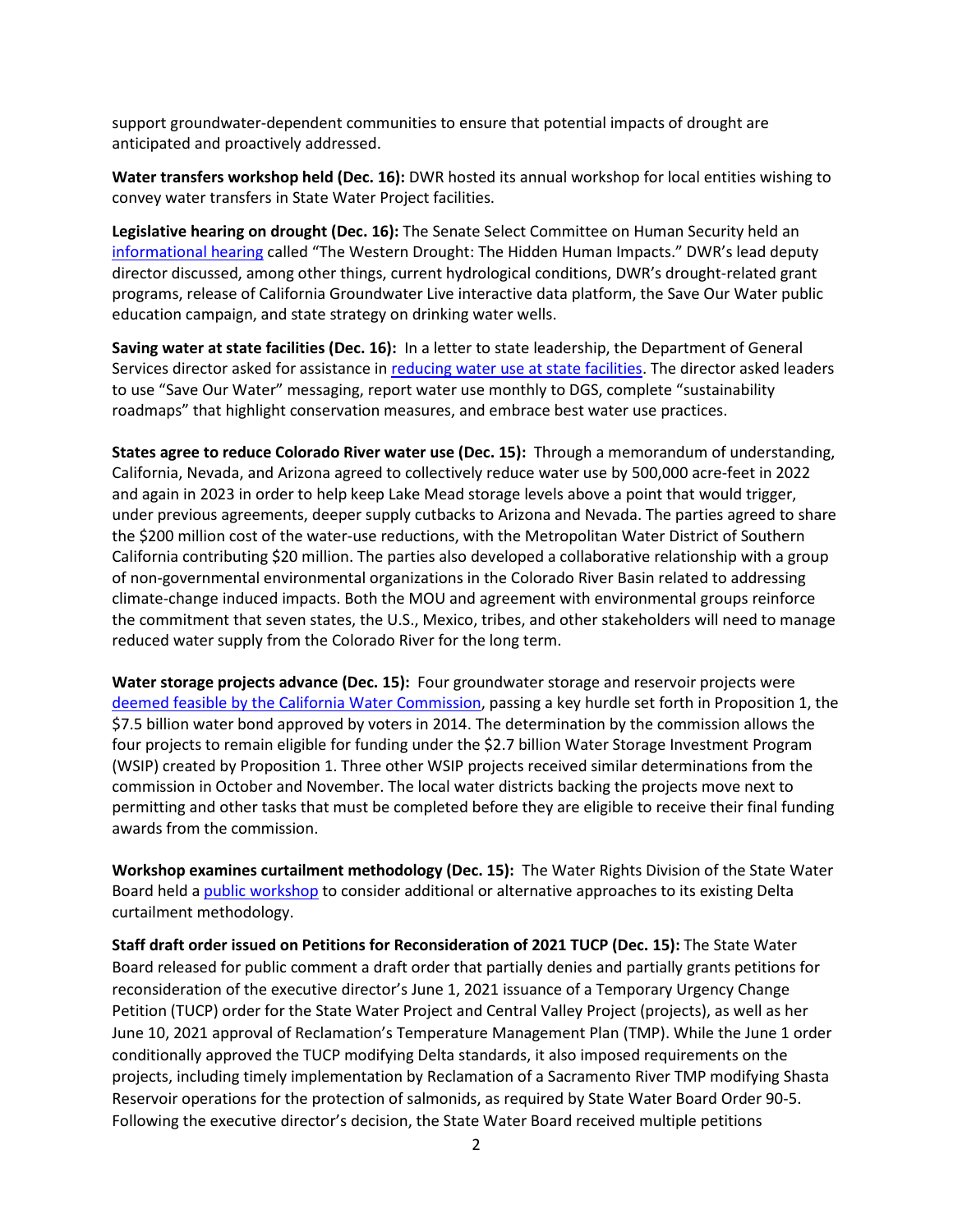support groundwater-dependent communities to ensure that potential impacts of drought are anticipated and proactively addressed.

**Water transfers workshop held (Dec. 16):** DWR hosted its annual workshop for local entities wishing to convey water transfers in State Water Project facilities.

**Legislative hearing on drought (Dec. 16):** The Senate Select Committee on Human Security held an [informational hearing](https://www.senate.ca.gov/sschs) called "The Western Drought: The Hidden Human Impacts." DWR's lead deputy director discussed, among other things, current hydrological conditions, DWR's drought-related grant programs, release of California Groundwater Live interactive data platform, the Save Our Water public education campaign, and state strategy on drinking water wells.

**Saving water at state facilities (Dec. 16):** In a letter to state leadership, the Department of General Services director asked for assistance i[n reducing water use at state facilities.](https://www.dgs.ca.gov/OS/Resources/Page-Content/Office-of-Sustainability-Resources-List-Folder/DGS-Water-Conservation-Efforts) The director asked leaders to use "Save Our Water" messaging, report water use monthly to DGS, complete "sustainability roadmaps" that highlight conservation measures, and embrace best water use practices.

**States agree to reduce Colorado River water use (Dec. 15):** Through a memorandum of understanding, California, Nevada, and Arizona agreed to collectively reduce water use by 500,000 acre-feet in 2022 and again in 2023 in order to help keep Lake Mead storage levels above a point that would trigger, under previous agreements, deeper supply cutbacks to Arizona and Nevada. The parties agreed to share the \$200 million cost of the water-use reductions, with the Metropolitan Water District of Southern California contributing \$20 million. The parties also developed a collaborative relationship with a group of non-governmental environmental organizations in the Colorado River Basin related to addressing climate-change induced impacts. Both the MOU and agreement with environmental groups reinforce the commitment that seven states, the U.S., Mexico, tribes, and other stakeholders will need to manage reduced water supply from the Colorado River for the long term.

**Water storage projects advance (Dec. 15):** Four groundwater storage and reservoir projects were [deemed feasible by the California Water Commission,](https://cwc.ca.gov/-/media/CWC-Website/Files/Documents/Press/WSIP_Eligibility_PressRelease_121521.pdf) passing a key hurdle set forth in Proposition 1, the \$7.5 billion water bond approved by voters in 2014. The determination by the commission allows the four projects to remain eligible for funding under the \$2.7 billion Water Storage Investment Program (WSIP) created by Proposition 1. Three other WSIP projects received similar determinations from the commission in October and November. The local water districts backing the projects move next to permitting and other tasks that must be completed before they are eligible to receive their final funding awards from the commission.

**Workshop examines curtailment methodology (Dec. 15):** The Water Rights Division of the State Water Board held a [public workshop](https://www.waterboards.ca.gov/waterrights/water_issues/programs/drought/delta/docs/2021/121521-workshop-notice.pdf) to consider additional or alternative approaches to its existing Delta curtailment methodology.

**Staff draft order issued on Petitions for Reconsideration of 2021 TUCP (Dec. 15):** The State Water Board released for public comment a draft order that partially denies and partially grants petitions for reconsideration of the executive director's June 1, 2021 issuance of a Temporary Urgency Change Petition (TUCP) order for the State Water Project and Central Valley Project (projects), as well as her June 10, 2021 approval of Reclamation's Temperature Management Plan (TMP). While the June 1 order conditionally approved the TUCP modifying Delta standards, it also imposed requirements on the projects, including timely implementation by Reclamation of a Sacramento River TMP modifying Shasta Reservoir operations for the protection of salmonids, as required by State Water Board Order 90-5. Following the executive director's decision, the State Water Board received multiple petitions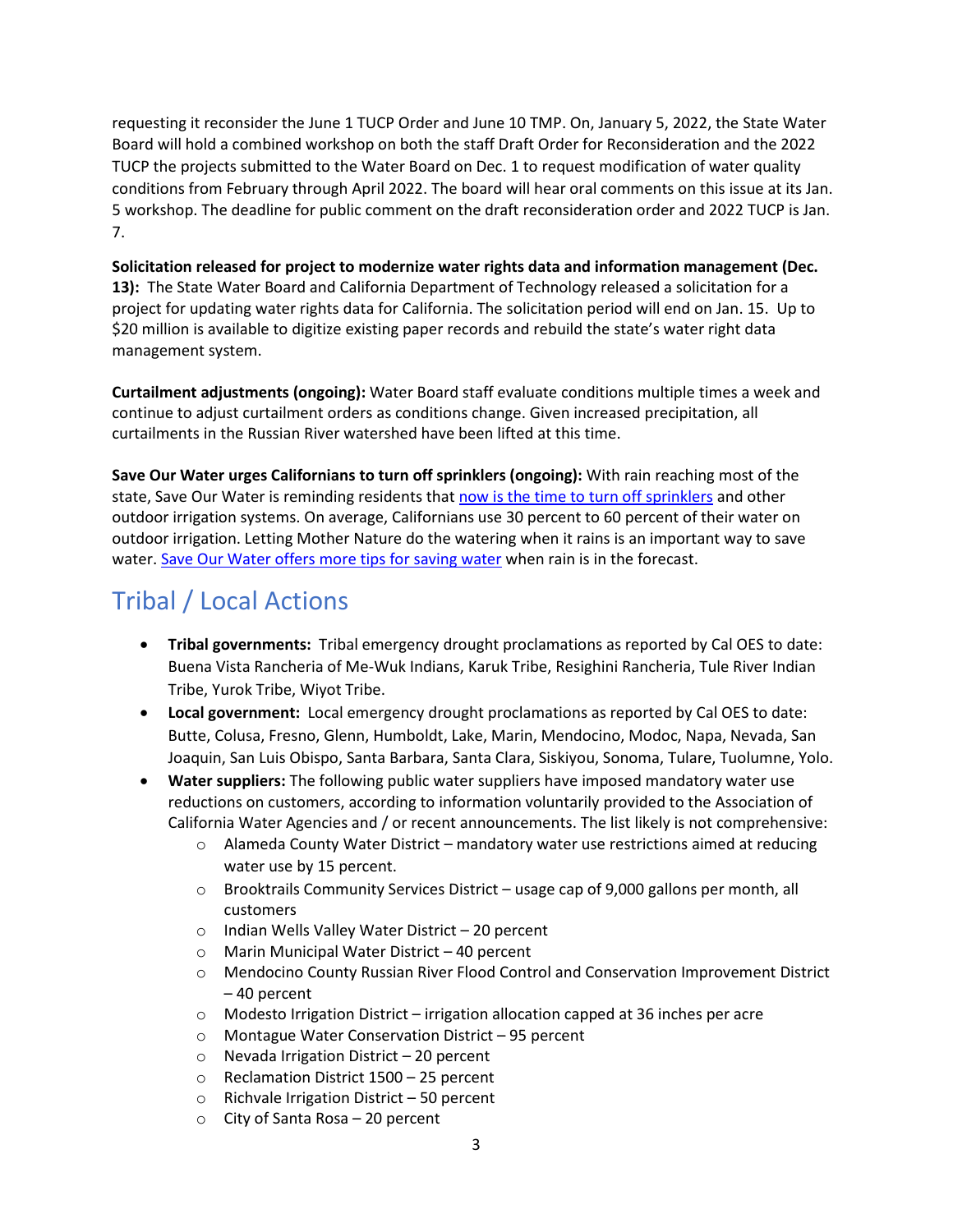requesting it reconsider the June 1 TUCP Order and June 10 TMP. On, January 5, 2022, the State Water Board will hold a combined workshop on both the staff Draft Order for Reconsideration and the 2022 TUCP the projects submitted to the Water Board on Dec. 1 to request modification of water quality conditions from February through April 2022. The board will hear oral comments on this issue at its Jan. 5 workshop. The deadline for public comment on the draft reconsideration order and 2022 TUCP is Jan. 7.

**Solicitation released for project to modernize water rights data and information management (Dec. 13):** The State Water Board and California Department of Technology released a solicitation for a project for updating water rights data for California. The solicitation period will end on Jan. 15. Up to \$20 million is available to digitize existing paper records and rebuild the state's water right data management system.

**Curtailment adjustments (ongoing):** Water Board staff evaluate conditions multiple times a week and continue to adjust curtailment orders as conditions change. Given increased precipitation, all curtailments in the Russian River watershed have been lifted at this time.

**Save Our Water urges Californians to turn off sprinklers (ongoing):** With rain reaching most of the state, Save Our Water is reminding residents that [now is the time to turn off sprinklers](https://saveourwater.com/-/media/SOW-Website/Files/20211209-SOW-Rainfall-Press-Release-FINALSB.pdf) and other outdoor irrigation systems. On average, Californians use 30 percent to 60 percent of their water on outdoor irrigation. Letting Mother Nature do the watering when it rains is an important way to save water[. Save Our Water offers more tips for saving water](https://saveourwater.com/How-to-Save-Water/Around-the-Yard) when rain is in the forecast.

# Tribal / Local Actions

- **Tribal governments:** Tribal emergency drought proclamations as reported by Cal OES to date: Buena Vista Rancheria of Me-Wuk Indians, Karuk Tribe, Resighini Rancheria, Tule River Indian Tribe, Yurok Tribe, Wiyot Tribe.
- **Local government:** Local emergency drought proclamations as reported by Cal OES to date: Butte, Colusa, Fresno, Glenn, Humboldt, Lake, Marin, Mendocino, Modoc, Napa, Nevada, San Joaquin, San Luis Obispo, Santa Barbara, Santa Clara, Siskiyou, Sonoma, Tulare, Tuolumne, Yolo.
- **Water suppliers:** The following public water suppliers have imposed mandatory water use reductions on customers, according to information voluntarily provided to the Association of California Water Agencies and / or recent announcements. The list likely is not comprehensive:
	- o Alameda County Water District mandatory water use restrictions aimed at reducing water use by 15 percent.
	- $\circ$  Brooktrails Community Services District usage cap of 9,000 gallons per month, all customers
	- o Indian Wells Valley Water District 20 percent
	- o Marin Municipal Water District 40 percent
	- o Mendocino County Russian River Flood Control and Conservation Improvement District – 40 percent
	- $\circ$  Modesto Irrigation District irrigation allocation capped at 36 inches per acre
	- o Montague Water Conservation District 95 percent
	- o Nevada Irrigation District 20 percent
	- o Reclamation District 1500 25 percent
	- $\circ$  Richvale Irrigation District 50 percent
	- o City of Santa Rosa 20 percent